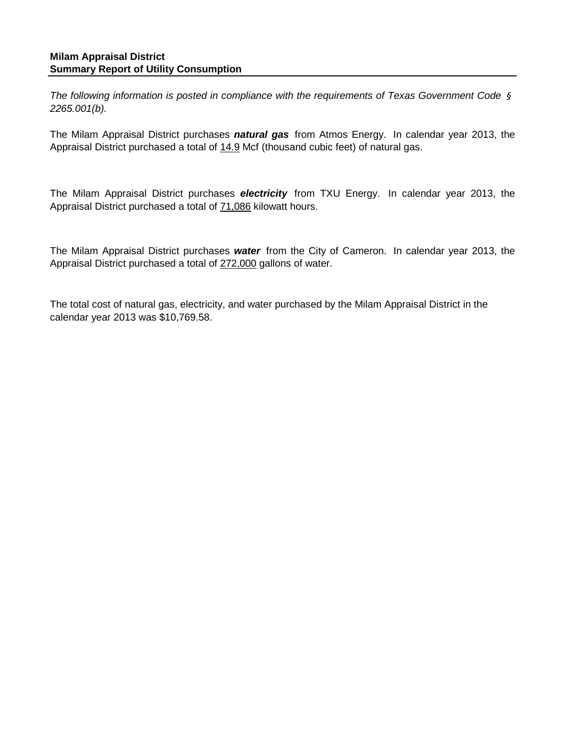*The following information is posted in compliance with the requirements of Texas Government Code § 2265.001(b).*

The Milam Appraisal District purchases *natural gas* from Atmos Energy. In calendar year 2013, the Appraisal District purchased a total of 14.9 Mcf (thousand cubic feet) of natural gas.

The Milam Appraisal District purchases *electricity* from TXU Energy. In calendar year 2013, the Appraisal District purchased a total of  $71,086$  kilowatt hours.

The Milam Appraisal District purchases *water* from the City of Cameron. In calendar year 2013, the Appraisal District purchased a total of 272,000 gallons of water.

The total cost of natural gas, electricity, and water purchased by the Milam Appraisal District in the calendar year 2013 was \$10,769.58.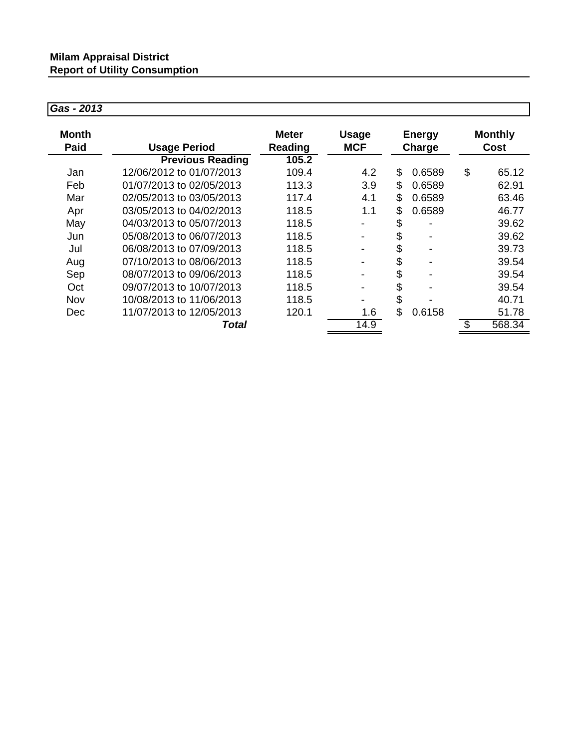## *Gas - 2013*

| Month<br>Paid | <b>Usage Period</b>      | <b>Meter</b><br>Reading | <b>Usage</b><br><b>MCF</b> | <b>Energy</b><br>Charge |        | <b>Monthly</b><br>Cost |        |
|---------------|--------------------------|-------------------------|----------------------------|-------------------------|--------|------------------------|--------|
|               | <b>Previous Reading</b>  | 105.2                   |                            |                         |        |                        |        |
| Jan           | 12/06/2012 to 01/07/2013 | 109.4                   | 4.2                        | \$                      | 0.6589 | \$                     | 65.12  |
| Feb           | 01/07/2013 to 02/05/2013 | 113.3                   | 3.9                        | \$                      | 0.6589 |                        | 62.91  |
| Mar           | 02/05/2013 to 03/05/2013 | 117.4                   | 4.1                        | \$                      | 0.6589 |                        | 63.46  |
| Apr           | 03/05/2013 to 04/02/2013 | 118.5                   | 1.1                        | \$                      | 0.6589 |                        | 46.77  |
| May           | 04/03/2013 to 05/07/2013 | 118.5                   |                            | \$                      |        |                        | 39.62  |
| Jun           | 05/08/2013 to 06/07/2013 | 118.5                   |                            | \$                      |        |                        | 39.62  |
| Jul           | 06/08/2013 to 07/09/2013 | 118.5                   |                            | \$                      |        |                        | 39.73  |
| Aug           | 07/10/2013 to 08/06/2013 | 118.5                   |                            | \$                      |        |                        | 39.54  |
| Sep           | 08/07/2013 to 09/06/2013 | 118.5                   |                            | \$                      |        |                        | 39.54  |
| Oct           | 09/07/2013 to 10/07/2013 | 118.5                   |                            | \$                      |        |                        | 39.54  |
| Nov           | 10/08/2013 to 11/06/2013 | 118.5                   |                            | \$                      |        |                        | 40.71  |
| Dec           | 11/07/2013 to 12/05/2013 | 120.1                   | 1.6                        | \$                      | 0.6158 |                        | 51.78  |
|               | Total                    |                         | 14.9                       |                         |        | \$                     | 568.34 |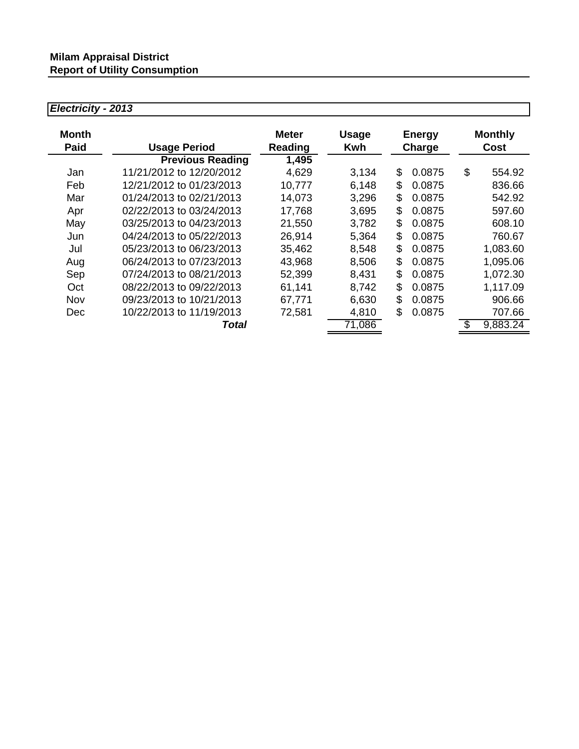## *Electricity - 2013*

| <b>Month</b><br>Paid | <b>Usage Period</b>      | <b>Meter</b><br>Reading | <b>Usage</b><br>Kwh | <b>Energy</b><br>Charge |        | <b>Monthly</b><br>Cost |          |
|----------------------|--------------------------|-------------------------|---------------------|-------------------------|--------|------------------------|----------|
|                      | <b>Previous Reading</b>  | 1,495                   |                     |                         |        |                        |          |
| Jan                  | 11/21/2012 to 12/20/2012 | 4,629                   | 3,134               | \$                      | 0.0875 | \$                     | 554.92   |
| Feb                  | 12/21/2012 to 01/23/2013 | 10,777                  | 6.148               | \$                      | 0.0875 |                        | 836.66   |
| Mar                  | 01/24/2013 to 02/21/2013 | 14,073                  | 3,296               | \$                      | 0.0875 |                        | 542.92   |
| Apr                  | 02/22/2013 to 03/24/2013 | 17,768                  | 3,695               | \$                      | 0.0875 |                        | 597.60   |
| May                  | 03/25/2013 to 04/23/2013 | 21,550                  | 3,782               | \$                      | 0.0875 |                        | 608.10   |
| Jun                  | 04/24/2013 to 05/22/2013 | 26,914                  | 5,364               | \$                      | 0.0875 |                        | 760.67   |
| Jul                  | 05/23/2013 to 06/23/2013 | 35,462                  | 8,548               | \$                      | 0.0875 |                        | 1,083.60 |
| Aug                  | 06/24/2013 to 07/23/2013 | 43,968                  | 8,506               | \$                      | 0.0875 |                        | 1,095.06 |
| Sep                  | 07/24/2013 to 08/21/2013 | 52,399                  | 8,431               | \$                      | 0.0875 |                        | 1,072.30 |
| Oct                  | 08/22/2013 to 09/22/2013 | 61,141                  | 8,742               | \$                      | 0.0875 |                        | 1,117.09 |
| Nov                  | 09/23/2013 to 10/21/2013 | 67,771                  | 6,630               | \$                      | 0.0875 |                        | 906.66   |
| Dec                  | 10/22/2013 to 11/19/2013 | 72,581                  | 4,810               | \$                      | 0.0875 |                        | 707.66   |
|                      | Total                    |                         | 71,086              |                         |        | S                      | 9,883.24 |